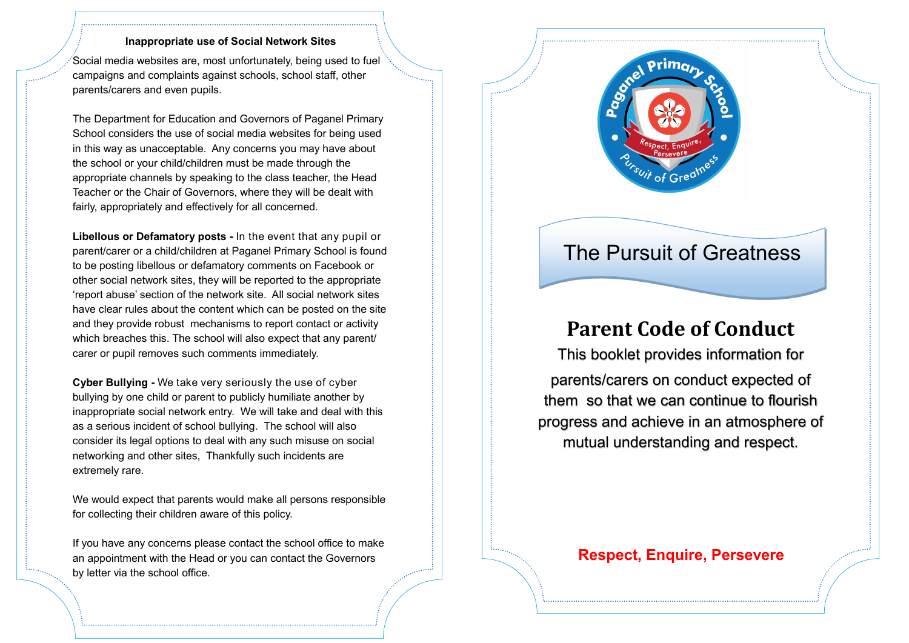#### **Inappropriate use of Social Network Sites**

Social media websites are, most unfortunately, being used to fuel campaigns and complaints against schools, school staff, other parents/carers and even pupils.

The Department for Education and Governors of Paganel Primary School considers the use of social media websites for being used in this way as unacceptable. Any concerns you may have about the school or your child/children must be made through the appropriate channels by speaking to the class teacher, the Head Teacher or the Chair of Governors, where they will be dealt with fairly, appropriately and effectively for all concerned.

**Libellous or Defamatory posts -** In the event that any pupil or parent/carer or a child/children at Paganel Primary School is found to be posting libellous or defamatory comments on Facebook or other social network sites, they will be reported to the appropriate 'report abuse' section of the network site. All social network sites have clear rules about the content which can be posted on the site and they provide robust mechanisms to report contact or activity which breaches this. The school will also expect that any parent/ carer or pupil removes such comments immediately.

**Cyber Bullying -** We take very seriously the use of cyber bullying by one child or parent to publicly humiliate another by inappropriate social network entry. We will take and deal with this as a serious incident of school bullying. The school will also consider its legal options to deal with any such misuse on social networking and other sites, Thankfully such incidents are extremely rare.

We would expect that parents would make all persons responsible for collecting their children aware of this policy.

If you have any concerns please contact the school office to make an appointment with the Head or you can contact the Governors by letter via the school office.

## **Parent Code of Conduct**

This booklet provides information for parents/carers on conduct expected of them so that we can continue to flourish progress and achieve in an atmosphere of mutual understanding and respect.



# The Pursuit of Greatness

#### **Respect, Enquire, Persevere**